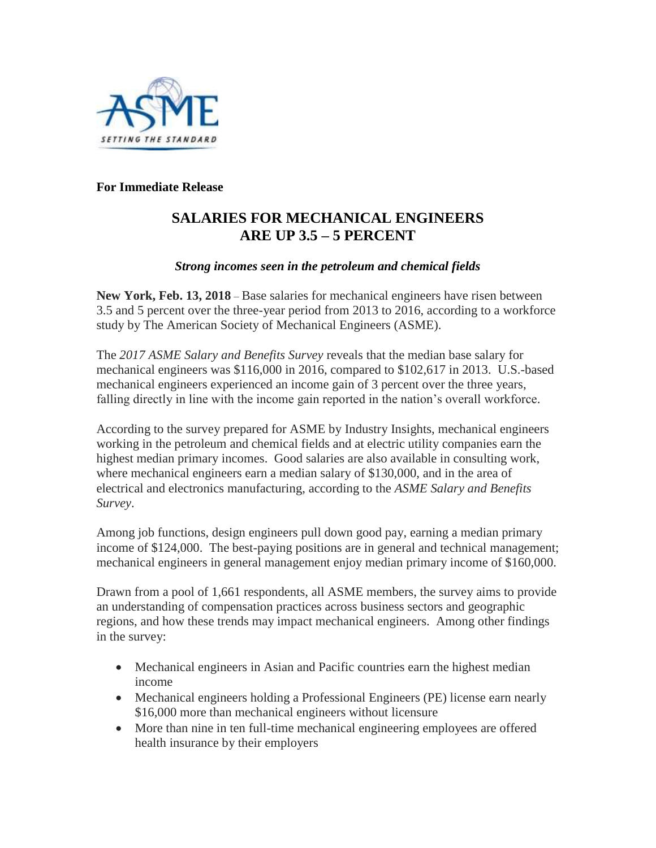

**For Immediate Release**

## **SALARIES FOR MECHANICAL ENGINEERS ARE UP 3.5 – 5 PERCENT**

## *Strong incomes seen in the petroleum and chemical fields*

**New York, Feb. 13, 2018** – Base salaries for mechanical engineers have risen between 3.5 and 5 percent over the three-year period from 2013 to 2016, according to a workforce study by The American Society of Mechanical Engineers (ASME).

The *2017 ASME Salary and Benefits Survey* reveals that the median base salary for mechanical engineers was \$116,000 in 2016, compared to \$102,617 in 2013. U.S.-based mechanical engineers experienced an income gain of 3 percent over the three years, falling directly in line with the income gain reported in the nation's overall workforce.

According to the survey prepared for ASME by Industry Insights, mechanical engineers working in the petroleum and chemical fields and at electric utility companies earn the highest median primary incomes. Good salaries are also available in consulting work, where mechanical engineers earn a median salary of \$130,000, and in the area of electrical and electronics manufacturing, according to the *ASME Salary and Benefits Survey*.

Among job functions, design engineers pull down good pay, earning a median primary income of \$124,000. The best-paying positions are in general and technical management; mechanical engineers in general management enjoy median primary income of \$160,000.

Drawn from a pool of 1,661 respondents, all ASME members, the survey aims to provide an understanding of compensation practices across business sectors and geographic regions, and how these trends may impact mechanical engineers. Among other findings in the survey:

- Mechanical engineers in Asian and Pacific countries earn the highest median income
- Mechanical engineers holding a Professional Engineers (PE) license earn nearly \$16,000 more than mechanical engineers without licensure
- More than nine in ten full-time mechanical engineering employees are offered health insurance by their employers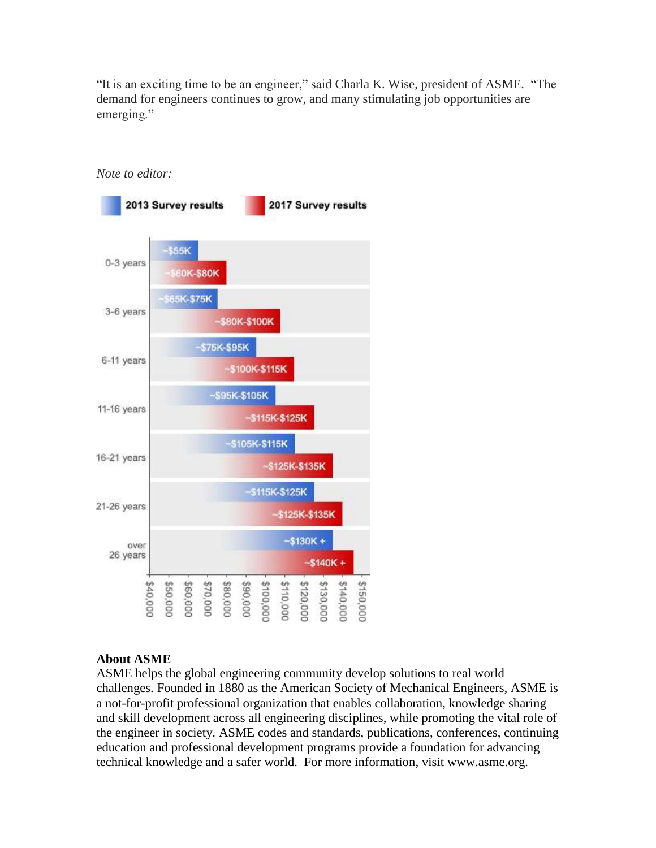"It is an exciting time to be an engineer," said Charla K. Wise, president of ASME. "The demand for engineers continues to grow, and many stimulating job opportunities are emerging."



## *Note to editor:*

## **About ASME**

ASME helps the global engineering community develop solutions to real world challenges. Founded in 1880 as the American Society of Mechanical Engineers, ASME is a not-for-profit professional organization that enables collaboration, knowledge sharing and skill development across all engineering disciplines, while promoting the vital role of the engineer in society. ASME codes and standards, publications, conferences, continuing education and professional development programs provide a foundation for advancing technical knowledge and a safer world. For more information, visit [www.asme.org.](http://www.asme.org/)